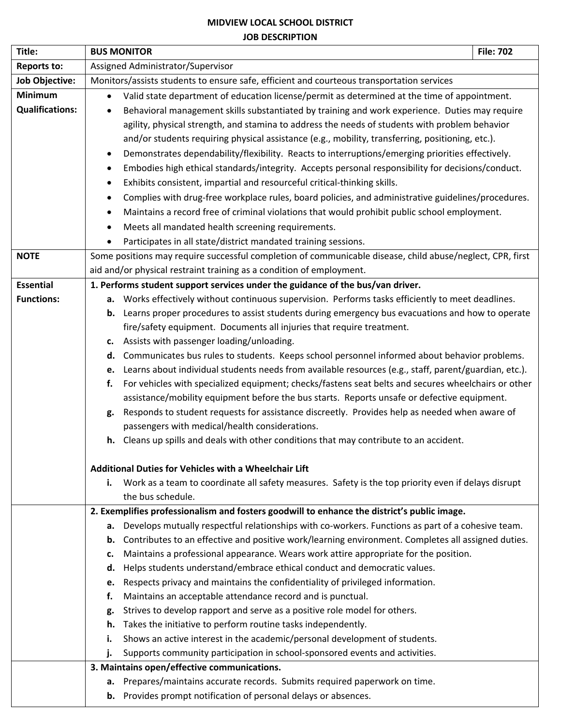## **MIDVIEW LOCAL SCHOOL DISTRICT JOB DESCRIPTION**

| Title:                 | <b>BUS MONITOR</b>                                                                                                                                                                           | <b>File: 702</b> |  |  |
|------------------------|----------------------------------------------------------------------------------------------------------------------------------------------------------------------------------------------|------------------|--|--|
| <b>Reports to:</b>     | Assigned Administrator/Supervisor                                                                                                                                                            |                  |  |  |
| <b>Job Objective:</b>  | Monitors/assists students to ensure safe, efficient and courteous transportation services                                                                                                    |                  |  |  |
| <b>Minimum</b>         | Valid state department of education license/permit as determined at the time of appointment.                                                                                                 |                  |  |  |
| <b>Qualifications:</b> | Behavioral management skills substantiated by training and work experience. Duties may require                                                                                               |                  |  |  |
|                        | agility, physical strength, and stamina to address the needs of students with problem behavior                                                                                               |                  |  |  |
|                        | and/or students requiring physical assistance (e.g., mobility, transferring, positioning, etc.).                                                                                             |                  |  |  |
|                        | Demonstrates dependability/flexibility. Reacts to interruptions/emerging priorities effectively.                                                                                             |                  |  |  |
|                        | Embodies high ethical standards/integrity. Accepts personal responsibility for decisions/conduct.                                                                                            |                  |  |  |
|                        | Exhibits consistent, impartial and resourceful critical-thinking skills.                                                                                                                     |                  |  |  |
|                        | Complies with drug-free workplace rules, board policies, and administrative guidelines/procedures.                                                                                           |                  |  |  |
|                        | Maintains a record free of criminal violations that would prohibit public school employment.                                                                                                 |                  |  |  |
|                        | Meets all mandated health screening requirements.                                                                                                                                            |                  |  |  |
|                        | Participates in all state/district mandated training sessions.<br>٠                                                                                                                          |                  |  |  |
| <b>NOTE</b>            | Some positions may require successful completion of communicable disease, child abuse/neglect, CPR, first                                                                                    |                  |  |  |
|                        | aid and/or physical restraint training as a condition of employment.                                                                                                                         |                  |  |  |
| <b>Essential</b>       | 1. Performs student support services under the guidance of the bus/van driver.                                                                                                               |                  |  |  |
| <b>Functions:</b>      | a. Works effectively without continuous supervision. Performs tasks efficiently to meet deadlines.                                                                                           |                  |  |  |
|                        | <b>b.</b> Learns proper procedures to assist students during emergency bus evacuations and how to operate                                                                                    |                  |  |  |
|                        | fire/safety equipment. Documents all injuries that require treatment.                                                                                                                        |                  |  |  |
|                        | Assists with passenger loading/unloading.<br>c.                                                                                                                                              |                  |  |  |
|                        | Communicates bus rules to students. Keeps school personnel informed about behavior problems.<br>d.                                                                                           |                  |  |  |
|                        | Learns about individual students needs from available resources (e.g., staff, parent/guardian, etc.).<br>e.                                                                                  |                  |  |  |
|                        | For vehicles with specialized equipment; checks/fastens seat belts and secures wheelchairs or other<br>f.                                                                                    |                  |  |  |
|                        | assistance/mobility equipment before the bus starts. Reports unsafe or defective equipment.<br>Responds to student requests for assistance discreetly. Provides help as needed when aware of |                  |  |  |
|                        | g.<br>passengers with medical/health considerations.                                                                                                                                         |                  |  |  |
|                        | h. Cleans up spills and deals with other conditions that may contribute to an accident.                                                                                                      |                  |  |  |
|                        |                                                                                                                                                                                              |                  |  |  |
|                        | <b>Additional Duties for Vehicles with a Wheelchair Lift</b>                                                                                                                                 |                  |  |  |
|                        | Work as a team to coordinate all safety measures. Safety is the top priority even if delays disrupt<br>i.                                                                                    |                  |  |  |
|                        | the bus schedule.                                                                                                                                                                            |                  |  |  |
|                        | 2. Exemplifies professionalism and fosters goodwill to enhance the district's public image.                                                                                                  |                  |  |  |
|                        | Develops mutually respectful relationships with co-workers. Functions as part of a cohesive team.<br>а.                                                                                      |                  |  |  |
|                        | Contributes to an effective and positive work/learning environment. Completes all assigned duties.<br>b.                                                                                     |                  |  |  |
|                        | Maintains a professional appearance. Wears work attire appropriate for the position.<br>c.                                                                                                   |                  |  |  |
|                        | Helps students understand/embrace ethical conduct and democratic values.<br>d.                                                                                                               |                  |  |  |
|                        | Respects privacy and maintains the confidentiality of privileged information.<br>e.                                                                                                          |                  |  |  |
|                        | f.<br>Maintains an acceptable attendance record and is punctual.                                                                                                                             |                  |  |  |
|                        | Strives to develop rapport and serve as a positive role model for others.<br>g.                                                                                                              |                  |  |  |
|                        | Takes the initiative to perform routine tasks independently.<br>h.                                                                                                                           |                  |  |  |
|                        | Shows an active interest in the academic/personal development of students.<br>i.                                                                                                             |                  |  |  |
|                        | Supports community participation in school-sponsored events and activities.<br>j.                                                                                                            |                  |  |  |
|                        | 3. Maintains open/effective communications.                                                                                                                                                  |                  |  |  |
|                        | Prepares/maintains accurate records. Submits required paperwork on time.<br>а.                                                                                                               |                  |  |  |
|                        | <b>b.</b> Provides prompt notification of personal delays or absences.                                                                                                                       |                  |  |  |